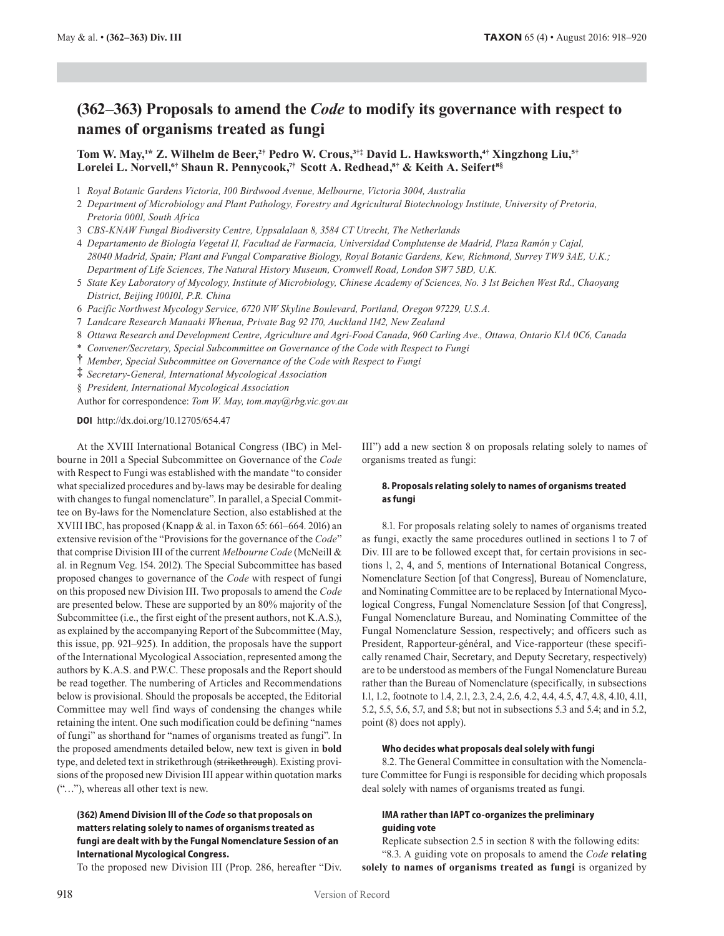# **(362–363) Proposals to amend the** *Code* **to modify its governance with respect to names of organisms treated as fungi**

**Tom W. May,1\* Z. Wilhelm de Beer,2† Pedro W. Crous,3†‡ David L. Hawksworth,4† Xingzhong Liu,5† Lorelei L. Norvell,6† Shaun R. Pennycook,7 † Scott A. Redhead,8† & Keith A. Seifert8 §**

- 1 *Royal Botanic Gardens Victoria, 100 Birdwood Avenue, Melbourne, Victoria 3004, Australia*
- 2 *Department of Microbiology and Plant Pathology, Forestry and Agricultural Biotechnology Institute, University of Pretoria, Pretoria 0001, South Africa*
- 3 *CBS-KNAW Fungal Biodiversity Centre, Uppsalalaan 8, 3584 CT Utrecht, The Netherlands*
- 4 *Departamento de Biología Vegetal II, Facultad de Farmacia, Universidad Complutense de Madrid, Plaza Ramón y Cajal, 28040 Madrid, Spain; Plant and Fungal Comparative Biology, Royal Botanic Gardens, Kew, Richmond, Surrey TW9 3AE, U.K.; Department of Life Sciences, The Natural History Museum, Cromwell Road, London SW7 5BD, U.K.*
- 5 *State Key Laboratory of Mycology, Institute of Microbiology, Chinese Academy of Sciences, No. 3 1st Beichen West Rd., Chaoyang District, Beijing 100101, P.R. China*
- 6 *Pacific Northwest Mycology Service, 6720 NW Skyline Boulevard, Portland, Oregon 97229, U.S.A.*
- 7 *Landcare Research Manaaki Whenua, Private Bag 92 170, Auckland 1142, New Zealand*
- 8 *Ottawa Research and Development Centre, Agriculture and Agri-Food Canada, 960 Carling Ave., Ottawa, Ontario K1A 0C6, Canada*
- \* *Convener/Secretary, Special Subcommittee on Governance of the Code with Respect to Fungi*
- **†** *Member, Special Subcommittee on Governance of the Code with Respect to Fungi*
- **‡** *Secretary-General, International Mycological Association*
- § *President, International Mycological Association*

Author for correspondence: *Tom W. May, tom.may@rbg.vic.gov.au*

**DOI** http://dx.doi.org/10.12705/654.47

At the XVIII International Botanical Congress (IBC) in Melbourne in 2011 a Special Subcommittee on Governance of the *Code* with Respect to Fungi was established with the mandate "to consider what specialized procedures and by-laws may be desirable for dealing with changes to fungal nomenclature". In parallel, a Special Committee on By-laws for the Nomenclature Section, also established at the XVIII IBC, has proposed (Knapp & al. in Taxon 65: 661–664. 2016) an extensive revision of the "Provisions for the governance of the *Code*" that comprise Division III of the current *Melbourne Code* (McNeill & al. in Regnum Veg. 154. 2012). The Special Subcommittee has based proposed changes to governance of the *Code* with respect of fungi on this proposed new Division III. Two proposals to amend the *Code* are presented below. These are supported by an 80% majority of the Subcommittee (i.e., the first eight of the present authors, not K.A.S.), as explained by the accompanying Report of the Subcommittee (May, this issue, pp. 921–925). In addition, the proposals have the support of the International Mycological Association, represented among the authors by K.A.S. and P.W.C. These proposals and the Report should be read together. The numbering of Articles and Recommendations below is provisional. Should the proposals be accepted, the Editorial Committee may well find ways of condensing the changes while retaining the intent. One such modification could be defining "names of fungi" as shorthand for "names of organisms treated as fungi". In the proposed amendments detailed below, new text is given in **bold** type, and deleted text in strikethrough (strikethrough). Existing provisions of the proposed new Division III appear within quotation marks ("…"), whereas all other text is new.

# **(362) Amend Division III of the** *Code* **so that proposals on matters relating solely to names of organisms treated as fungi are dealt with by the Fungal Nomenclature Session of an International Mycological Congress.**

To the proposed new Division III (Prop. 286, hereafter "Div.

III") add a new section 8 on proposals relating solely to names of organisms treated as fungi:

# **8. Proposals relating solely to names of organisms treated as fungi**

8.1. For proposals relating solely to names of organisms treated as fungi, exactly the same procedures outlined in sections 1 to 7 of Div. III are to be followed except that, for certain provisions in sections 1, 2, 4, and 5, mentions of International Botanical Congress, Nomenclature Section [of that Congress], Bureau of Nomenclature, and Nominating Committee are to be replaced by International Mycological Congress, Fungal Nomenclature Session [of that Congress], Fungal Nomenclature Bureau, and Nominating Committee of the Fungal Nomenclature Session, respectively; and officers such as President, Rapporteur-général, and Vice-rapporteur (these specifically renamed Chair, Secretary, and Deputy Secretary, respectively) are to be understood as members of the Fungal Nomenclature Bureau rather than the Bureau of Nomenclature (specifically, in subsections 1.1, 1.2, footnote to 1.4, 2.1, 2.3, 2.4, 2.6, 4.2, 4.4, 4.5, 4.7, 4.8, 4.10, 4.11, 5.2, 5.5, 5.6, 5.7, and 5.8; but not in subsections 5.3 and 5.4; and in 5.2, point (8) does not apply).

#### **Who decides what proposals deal solely with fungi**

8.2. The General Committee in consultation with the Nomenclature Committee for Fungi is responsible for deciding which proposals deal solely with names of organisms treated as fungi.

# **IMA rather than IAPT co-organizes the preliminary guiding vote**

Replicate subsection 2.5 in section 8 with the following edits: "8.3. A guiding vote on proposals to amend the *Code* **relating**  solely to names of organisms treated as fungi is organized by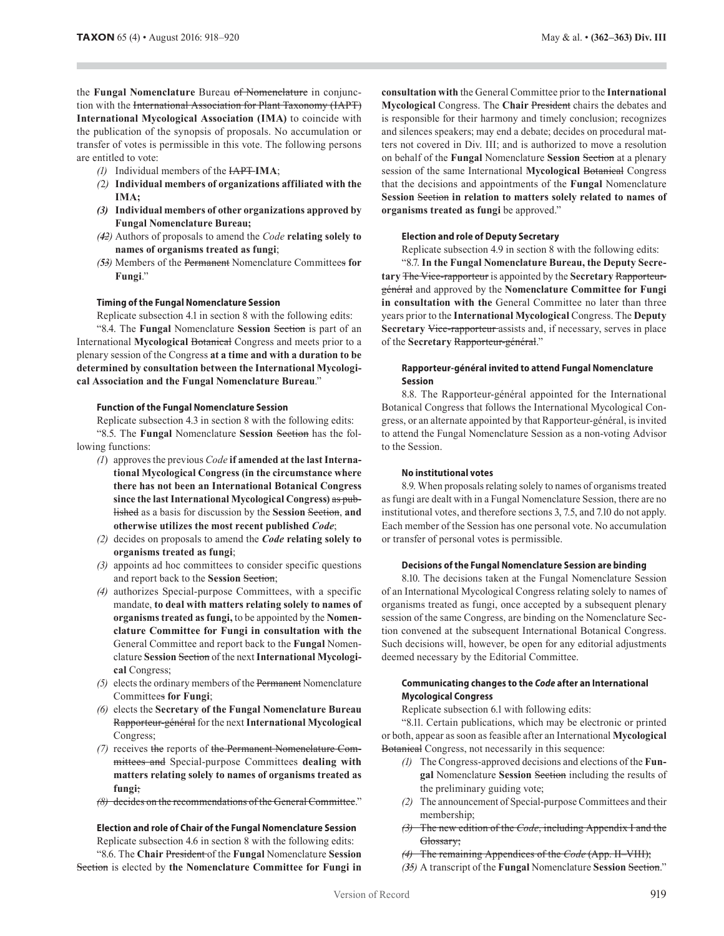the **Fungal Nomenclature** Bureau of Nomenclature in conjunction with the International Association for Plant Taxonomy (IAPT) **International Mycological Association (IMA)** to coincide with the publication of the synopsis of proposals. No accumulation or transfer of votes is permissible in this vote. The following persons are entitled to vote:

- *(1)* Individual members of the IAPT **IMA**;
- *(*2*)* **Individual members of organizations affiliated with the IMA;**
- *(3)* **Individual members of other organizations approved by Fungal Nomenclature Bureau;**
- *(42)* Authors of proposals to amend the *Code* **relating solely to names of organisms treated as fungi**;
- *(53)* Members of the Permanent Nomenclature Committees **for Fungi**."

## **Timing of the Fungal Nomenclature Session**

Replicate subsection 4.1 in section 8 with the following edits:

"8.4. The **Fungal** Nomenclature **Session** Section is part of an International **Mycological** Botanical Congress and meets prior to a plenary session of the Congress **at a time and with a duration to be determined by consultation between the International Mycological Association and the Fungal Nomenclature Bureau**."

### **Function of the Fungal Nomenclature Session**

Replicate subsection 4.3 in section 8 with the following edits:

"8.5. The **Fungal** Nomenclature **Session** Section has the following functions:

- *(1*) approves the previous *Code* **if amended at the last International Mycological Congress (in the circumstance where there has not been an International Botanical Congress since the last International Mycological Congress)** as published as a basis for discussion by the **Session** Section, **and otherwise utilizes the most recent published** *Code*;
- *(2)* decides on proposals to amend the *Code* **relating solely to organisms treated as fungi**;
- *(3)* appoints ad hoc committees to consider specific questions and report back to the **Session** Section;
- *(4)* authorizes Special-purpose Committees, with a specific mandate, **to deal with matters relating solely to names of organisms treated as fungi,** to be appointed by the **Nomenclature Committee for Fungi in consultation with the** General Committee and report back to the **Fungal** Nomenclature **Session** Section of the next **International Mycological** Congress;
- *(5)* elects the ordinary members of the Permanent Nomenclature Committees **for Fungi**;
- *(6)* elects the **Secretary of the Fungal Nomenclature Bureau** Rapporteur-général for the next **International Mycological** Congress;
- *(7)* receives the reports of the Permanent Nomenclature Committees and Special-purpose Committees **dealing with matters relating solely to names of organisms treated as fungi**;
- *(8)* decides on the recommendations of the General Committee."

# **Election and role of Chair of the Fungal Nomenclature Session**

Replicate subsection 4.6 in section 8 with the following edits: "8.6. The **Chair** President of the **Fungal** Nomenclature **Session**

Section is elected by **the Nomenclature Committee for Fungi in** 

**consultation with** the General Committee prior to the **International Mycological** Congress. The **Chair** President chairs the debates and is responsible for their harmony and timely conclusion; recognizes and silences speakers; may end a debate; decides on procedural matters not covered in Div. III; and is authorized to move a resolution on behalf of the **Fungal** Nomenclature **Session** Section at a plenary session of the same International **Mycological** Botanical Congress that the decisions and appointments of the **Fungal** Nomenclature **Session** Section **in relation to matters solely related to names of**  organisms treated as fungi be approved."

### **Election and role of Deputy Secretary**

Replicate subsection 4.9 in section 8 with the following edits: "8.7. **In the Fungal Nomenclature Bureau, the Deputy Secretary** The Vice-rapporteur is appointed by the **Secretary** Rapporteurgénéral and approved by the **Nomenclature Committee for Fungi in consultation with the** General Committee no later than three years prior to the **International Mycological** Congress. The **Deputy Secretary** Vice-rapporteur assists and, if necessary, serves in place of the **Secretary** Rapporteur-général."

# **Rapporteur-général invited to attend Fungal Nomenclature Session**

8.8. The Rapporteur-général appointed for the International Botanical Congress that follows the International Mycological Congress, or an alternate appointed by that Rapporteur-général, is invited to attend the Fungal Nomenclature Session as a non-voting Advisor to the Session.

## **No institutional votes**

8.9. When proposals relating solely to names of organisms treated as fungi are dealt with in a Fungal Nomenclature Session, there are no institutional votes, and therefore sections 3, 7.5, and 7.10 do not apply. Each member of the Session has one personal vote. No accumulation or transfer of personal votes is permissible.

## **Decisions of the Fungal Nomenclature Session are binding**

8.10. The decisions taken at the Fungal Nomenclature Session of an International Mycological Congress relating solely to names of organisms treated as fungi, once accepted by a subsequent plenary session of the same Congress, are binding on the Nomenclature Section convened at the subsequent International Botanical Congress. Such decisions will, however, be open for any editorial adjustments deemed necessary by the Editorial Committee.

# **Communicating changes to the** *Code* **after an International Mycological Congress**

Replicate subsection 6.1 with following edits:

"8.11. Certain publications, which may be electronic or printed or both, appear as soon as feasible after an International **Mycological** Botanical Congress, not necessarily in this sequence:

- *(1)* The Congress-approved decisions and elections of the **Fungal** Nomenclature **Session** Section including the results of the preliminary guiding vote;
- *(2)* The announcement of Special-purpose Committees and their membership;
- *(3)* The new edition of the *Code*, including Appendix I and the Glossary;
- *(4)* The remaining Appendices of the *Code* (App. II–VIII);
- *(35)* A transcript of the **Fungal** Nomenclature **Session** Section."